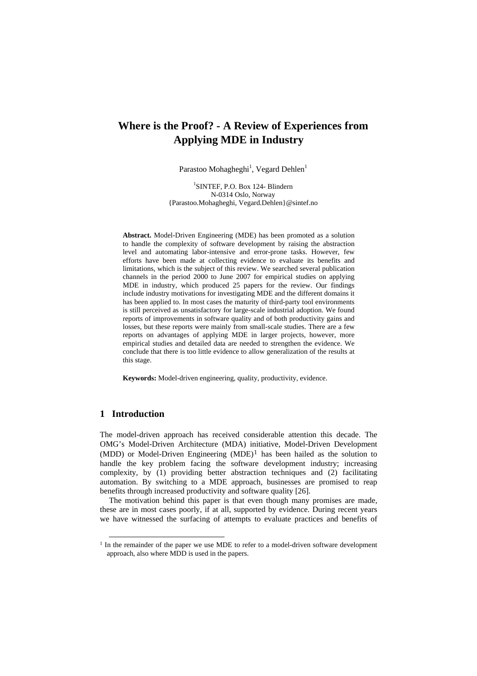# **Where is the Proof? - A Review of Experiences from Applying MDE in Industry**

Parastoo Mohagheghi<sup>1</sup>, Vegard Dehlen<sup>1</sup>

1 SINTEF, P.O. Box 124- Blindern N-0314 Oslo, Norway {Parastoo.Mohagheghi, Vegard.Dehlen}@sintef.no

**Abstract.** Model-Driven Engineering (MDE) has been promoted as a solution to handle the complexity of software development by raising the abstraction level and automating labor-intensive and error-prone tasks. However, few efforts have been made at collecting evidence to evaluate its benefits and limitations, which is the subject of this review. We searched several publication channels in the period 2000 to June 2007 for empirical studies on applying MDE in industry, which produced 25 papers for the review. Our findings include industry motivations for investigating MDE and the different domains it has been applied to. In most cases the maturity of third-party tool environments is still perceived as unsatisfactory for large-scale industrial adoption. We found reports of improvements in software quality and of both productivity gains and losses, but these reports were mainly from small-scale studies. There are a few reports on advantages of applying MDE in larger projects, however, more empirical studies and detailed data are needed to strengthen the evidence. We conclude that there is too little evidence to allow generalization of the results at this stage.

**Keywords:** Model-driven engineering, quality, productivity, evidence.

## **1 Introduction**

The model-driven approach has received considerable attention this decade. The OMG's Model-Driven Architecture (MDA) initiative, Model-Driven Development (MDD) or Model-Driven Engineering  $(MDE)^1$  $(MDE)^1$  has been hailed as the solution to handle the key problem facing the software development industry; increasing complexity, by (1) providing better abstraction techniques and (2) facilitating automation. By switching to a MDE approach, businesses are promised to reap benefits through increased productivity and software quality [26].

The motivation behind this paper is that even though many promises are made, these are in most cases poorly, if at all, supported by evidence. During recent years we have witnessed the surfacing of attempts to evaluate practices and benefits of

<span id="page-0-0"></span> $<sup>1</sup>$  In the remainder of the paper we use MDE to refer to a model-driven software development</sup> approach, also where MDD is used in the papers.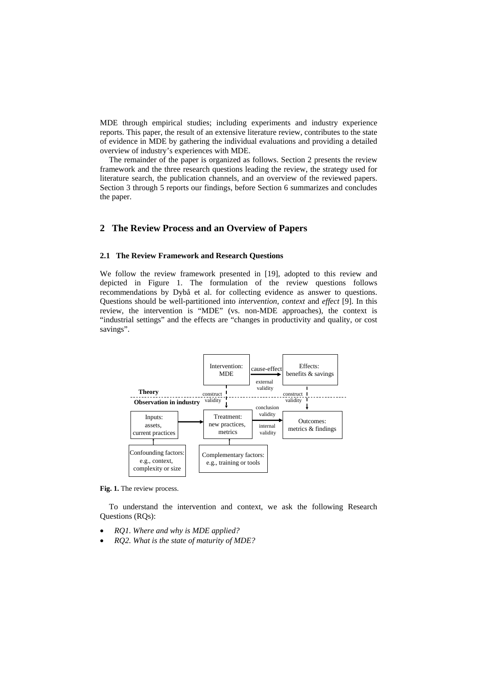MDE through empirical studies; including experiments and industry experience reports. This paper, the result of an extensive literature review, contributes to the state of evidence in MDE by gathering the individual evaluations and providing a detailed overview of industry's experiences with MDE.

The remainder of the paper is organized as follows. Section 2 presents the review framework and the three research questions leading the review, the strategy used for literature search, the publication channels, and an overview of the reviewed papers. Section 3 through 5 reports our findings, before Section 6 summarizes and concludes the paper.

# **2 The Review Process and an Overview of Papers**

### **2.1 The Review Framework and Research Questions**

We follow the review framework presented in [19], adopted to this review and depicted in Figure 1. The formulation of the review questions follows recommendations by Dybå et al. for collecting evidence as answer to questions. Questions should be well-partitioned into *intervention*, *context* and *effect* [9]. In this review, the intervention is "MDE" (vs. non-MDE approaches), the context is "industrial settings" and the effects are "changes in productivity and quality, or cost savings".



**Fig. 1.** The review process.

To understand the intervention and context, we ask the following Research Questions (RQs):

- *RQ1. Where and why is MDE applied?*
- *RQ2. What is the state of maturity of MDE?*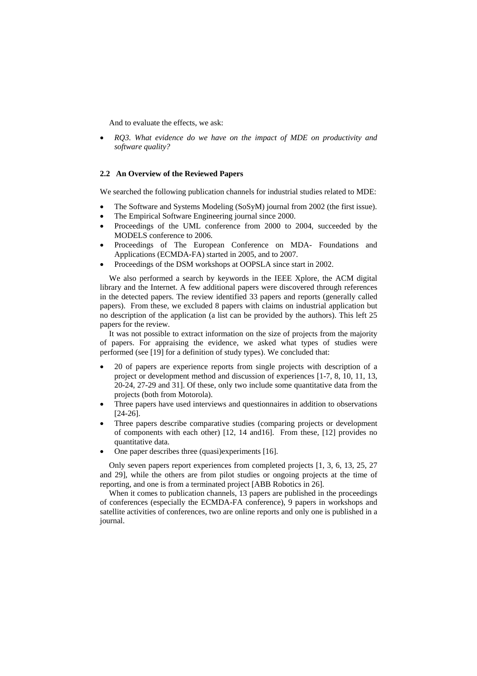And to evaluate the effects, we ask:

• *RQ3. What evidence do we have on the impact of MDE on productivity and software quality?* 

### **2.2 An Overview of the Reviewed Papers**

We searched the following publication channels for industrial studies related to MDE:

- The Software and Systems Modeling (SoSyM) journal from 2002 (the first issue).
- The Empirical Software Engineering journal since 2000.
- Proceedings of the UML conference from 2000 to 2004, succeeded by the MODELS conference to 2006.
- Proceedings of The European Conference on MDA- Foundations and Applications (ECMDA-FA) started in 2005, and to 2007.
- Proceedings of the DSM workshops at OOPSLA since start in 2002.

We also performed a search by keywords in the IEEE Xplore, the ACM digital library and the Internet. A few additional papers were discovered through references in the detected papers. The review identified 33 papers and reports (generally called papers). From these, we excluded 8 papers with claims on industrial application but no description of the application (a list can be provided by the authors). This left 25 papers for the review.

It was not possible to extract information on the size of projects from the majority of papers. For appraising the evidence, we asked what types of studies were performed (see [19] for a definition of study types). We concluded that:

- 20 of papers are experience reports from single projects with description of a project or development method and discussion of experiences [1-7, 8, 10, 11, 13, 20-24, 27-29 and 31]. Of these, only two include some quantitative data from the projects (both from Motorola).
- Three papers have used interviews and questionnaires in addition to observations [24-26].
- Three papers describe comparative studies (comparing projects or development of components with each other) [12, 14 and16]. From these, [12] provides no quantitative data.
- One paper describes three (quasi)experiments [16].

Only seven papers report experiences from completed projects [1, 3, 6, 13, 25, 27 and 29], while the others are from pilot studies or ongoing projects at the time of reporting, and one is from a terminated project [ABB Robotics in 26].

When it comes to publication channels, 13 papers are published in the proceedings of conferences (especially the ECMDA-FA conference), 9 papers in workshops and satellite activities of conferences, two are online reports and only one is published in a journal.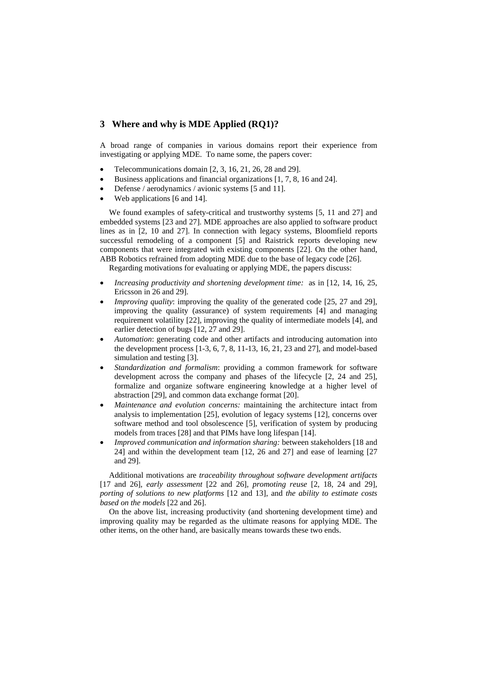# **3 Where and why is MDE Applied (RQ1)?**

A broad range of companies in various domains report their experience from investigating or applying MDE. To name some, the papers cover:

- Telecommunications domain [2, 3, 16, 21, 26, 28 and 29].
- Business applications and financial organizations [1, 7, 8, 16 and 24].
- Defense / aerodynamics / avionic systems [5 and 11].
- Web applications [6 and 14].

We found examples of safety-critical and trustworthy systems [5, 11 and 27] and embedded systems [23 and 27]. MDE approaches are also applied to software product lines as in [2, 10 and 27]. In connection with legacy systems, Bloomfield reports successful remodeling of a component [5] and Raistrick reports developing new components that were integrated with existing components [22]. On the other hand, ABB Robotics refrained from adopting MDE due to the base of legacy code [26].

Regarding motivations for evaluating or applying MDE, the papers discuss:

- *Increasing productivity and shortening development time:* as in [12, 14, 16, 25, Ericsson in 26 and 29].
- *Improving quality:* improving the quality of the generated code [25, 27 and 29]. improving the quality (assurance) of system requirements [4] and managing requirement volatility [22], improving the quality of intermediate models [4], and earlier detection of bugs [12, 27 and 29].
- *Automation*: generating code and other artifacts and introducing automation into the development process [1-3, 6, 7, 8, 11-13, 16, 21, 23 and 27], and model-based simulation and testing [3].
- *Standardization and formalism*: providing a common framework for software development across the company and phases of the lifecycle [2, 24 and 25], formalize and organize software engineering knowledge at a higher level of abstraction [29], and common data exchange format [20].
- *Maintenance and evolution concerns:* maintaining the architecture intact from analysis to implementation [25], evolution of legacy systems [12], concerns over software method and tool obsolescence [5], verification of system by producing models from traces [28] and that PIMs have long lifespan [14].
- *Improved communication and information sharing:* between stakeholders [18 and 24] and within the development team [12, 26 and 27] and ease of learning [27 and 29].

Additional motivations are *traceability throughout software development artifacts* [17 and 26], *early assessment* [22 and 26], *promoting reuse* [2, 18, 24 and 29], *porting of solutions to new platforms* [12 and 13], and *the ability to estimate costs based on the models* [22 and 26].

On the above list, increasing productivity (and shortening development time) and improving quality may be regarded as the ultimate reasons for applying MDE. The other items, on the other hand, are basically means towards these two ends.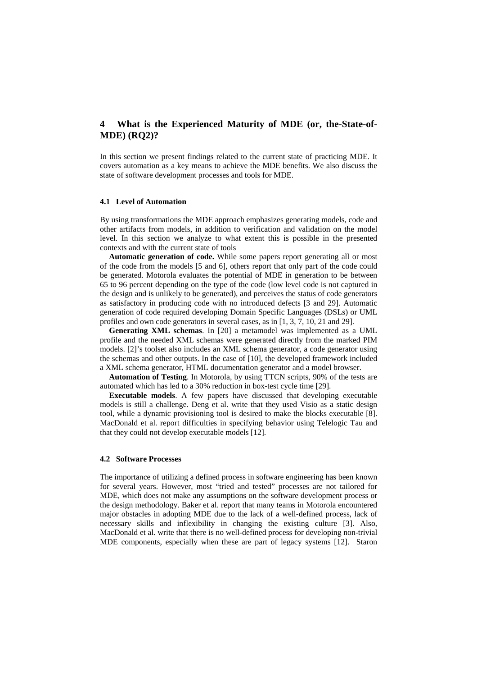# **4 What is the Experienced Maturity of MDE (or, the-State-of-MDE) (RQ2)?**

In this section we present findings related to the current state of practicing MDE. It covers automation as a key means to achieve the MDE benefits. We also discuss the state of software development processes and tools for MDE.

#### **4.1 Level of Automation**

By using transformations the MDE approach emphasizes generating models, code and other artifacts from models, in addition to verification and validation on the model level. In this section we analyze to what extent this is possible in the presented contexts and with the current state of tools

**Automatic generation of code.** While some papers report generating all or most of the code from the models [5 and 6], others report that only part of the code could be generated. Motorola evaluates the potential of MDE in generation to be between 65 to 96 percent depending on the type of the code (low level code is not captured in the design and is unlikely to be generated), and perceives the status of code generators as satisfactory in producing code with no introduced defects [3 and 29]. Automatic generation of code required developing Domain Specific Languages (DSLs) or UML profiles and own code generators in several cases, as in [1, 3, 7, 10, 21 and 29].

**Generating XML schemas**. In [20] a metamodel was implemented as a UML profile and the needed XML schemas were generated directly from the marked PIM models. [2]'s toolset also includes an XML schema generator, a code generator using the schemas and other outputs. In the case of [10], the developed framework included a XML schema generator, HTML documentation generator and a model browser.

**Automation of Testing**. In Motorola, by using TTCN scripts, 90% of the tests are automated which has led to a 30% reduction in box-test cycle time [29].

**Executable models**. A few papers have discussed that developing executable models is still a challenge. Deng et al. write that they used Visio as a static design tool, while a dynamic provisioning tool is desired to make the blocks executable [8]. MacDonald et al. report difficulties in specifying behavior using Telelogic Tau and that they could not develop executable models [12].

#### **4.2 Software Processes**

The importance of utilizing a defined process in software engineering has been known for several years. However, most "tried and tested" processes are not tailored for MDE, which does not make any assumptions on the software development process or the design methodology. Baker et al. report that many teams in Motorola encountered major obstacles in adopting MDE due to the lack of a well-defined process, lack of necessary skills and inflexibility in changing the existing culture [3]. Also, MacDonald et al. write that there is no well-defined process for developing non-trivial MDE components, especially when these are part of legacy systems [12]. Staron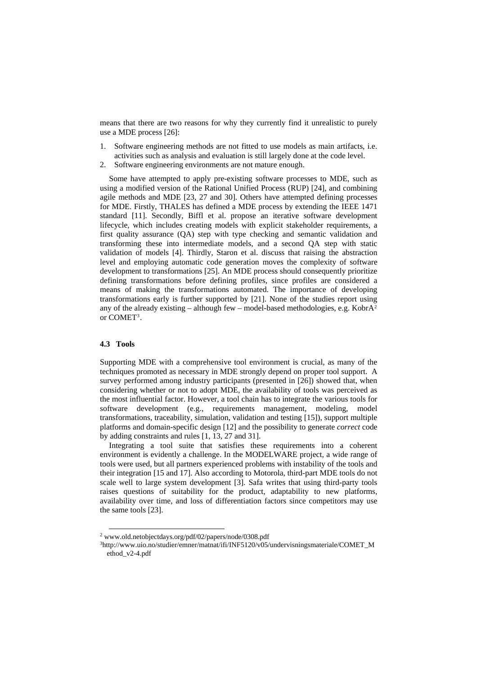means that there are two reasons for why they currently find it unrealistic to purely use a MDE process [26]:

- 1. Software engineering methods are not fitted to use models as main artifacts, i.e. activities such as analysis and evaluation is still largely done at the code level.
- 2. Software engineering environments are not mature enough.

Some have attempted to apply pre-existing software processes to MDE, such as using a modified version of the Rational Unified Process (RUP) [24], and combining agile methods and MDE [23, 27 and 30]. Others have attempted defining processes for MDE. Firstly, THALES has defined a MDE process by extending the IEEE 1471 standard [11]. Secondly, Biffl et al. propose an iterative software development lifecycle, which includes creating models with explicit stakeholder requirements, a first quality assurance (QA) step with type checking and semantic validation and transforming these into intermediate models, and a second QA step with static validation of models [4]. Thirdly, Staron et al. discuss that raising the abstraction level and employing automatic code generation moves the complexity of software development to transformations [25]. An MDE process should consequently prioritize defining transformations before defining profiles, since profiles are considered a means of making the transformations automated. The importance of developing transformations early is further supported by [21]. None of the studies report using any of the already existing – although few – model-based methodologies, e.g. Kobr $A^2$  $A^2$ or COMET[3](#page-5-1).

#### **4.3 Tools**

Supporting MDE with a comprehensive tool environment is crucial, as many of the techniques promoted as necessary in MDE strongly depend on proper tool support. A survey performed among industry participants (presented in [26]) showed that, when considering whether or not to adopt MDE, the availability of tools was perceived as the most influential factor. However, a tool chain has to integrate the various tools for software development (e.g., requirements management, modeling, model transformations, traceability, simulation, validation and testing [15]), support multiple platforms and domain-specific design [12] and the possibility to generate *correct* code by adding constraints and rules [1, 13, 27 and 31].

Integrating a tool suite that satisfies these requirements into a coherent environment is evidently a challenge. In the MODELWARE project, a wide range of tools were used, but all partners experienced problems with instability of the tools and their integration [15 and 17]. Also according to Motorola, third-part MDE tools do not scale well to large system development [3]. Safa writes that using third-party tools raises questions of suitability for the product, adaptability to new platforms, availability over time, and loss of differentiation factors since competitors may use the same tools [23].

<span id="page-5-1"></span>

<span id="page-5-0"></span><sup>&</sup>lt;sup>2</sup> www.old.netobjectdays.org/pdf/02/papers/node/0308.pdf<br><sup>3</sup>http://www.uio.no/studier/emner/matnat/ifi/INF5120/v05/undervisningsmateriale/COMET\_M ethod\_v2-4.pdf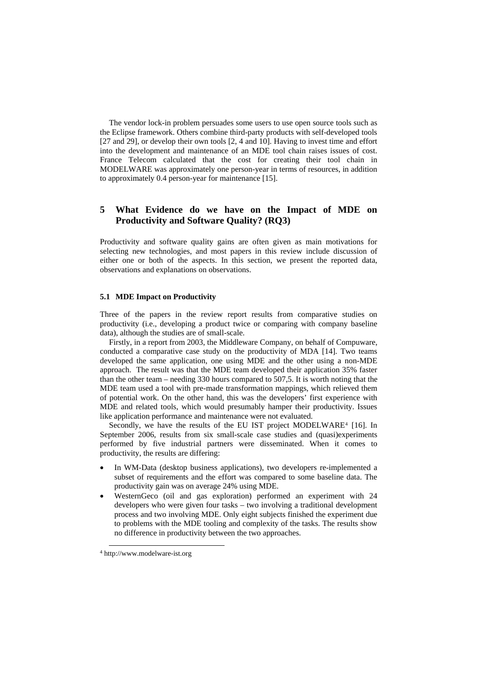The vendor lock-in problem persuades some users to use open source tools such as the Eclipse framework. Others combine third-party products with self-developed tools [27 and 29], or develop their own tools [2, 4 and 10]. Having to invest time and effort into the development and maintenance of an MDE tool chain raises issues of cost. France Telecom calculated that the cost for creating their tool chain in MODELWARE was approximately one person-year in terms of resources, in addition to approximately 0.4 person-year for maintenance [15].

# **5 What Evidence do we have on the Impact of MDE on Productivity and Software Quality? (RQ3)**

Productivity and software quality gains are often given as main motivations for selecting new technologies, and most papers in this review include discussion of either one or both of the aspects. In this section, we present the reported data, observations and explanations on observations.

#### **5.1 MDE Impact on Productivity**

Three of the papers in the review report results from comparative studies on productivity (i.e., developing a product twice or comparing with company baseline data), although the studies are of small-scale.

Firstly, in a report from 2003, the Middleware Company, on behalf of Compuware, conducted a comparative case study on the productivity of MDA [14]. Two teams developed the same application, one using MDE and the other using a non-MDE approach. The result was that the MDE team developed their application 35% faster than the other team – needing 330 hours compared to 507,5. It is worth noting that the MDE team used a tool with pre-made transformation mappings, which relieved them of potential work. On the other hand, this was the developers' first experience with MDE and related tools, which would presumably hamper their productivity. Issues like application performance and maintenance were not evaluated.

Secondly, we have the results of the EU IST project MODELWARE<sup>[4](#page-6-0)</sup> [16]. In September 2006, results from six small-scale case studies and (quasi)experiments performed by five industrial partners were disseminated. When it comes to productivity, the results are differing:

- In WM-Data (desktop business applications), two developers re-implemented a subset of requirements and the effort was compared to some baseline data. The productivity gain was on average 24% using MDE.
- WesternGeco (oil and gas exploration) performed an experiment with 24 developers who were given four tasks – two involving a traditional development process and two involving MDE. Only eight subjects finished the experiment due to problems with the MDE tooling and complexity of the tasks. The results show no difference in productivity between the two approaches.

<span id="page-6-0"></span> <sup>4</sup> http://www.modelware-ist.org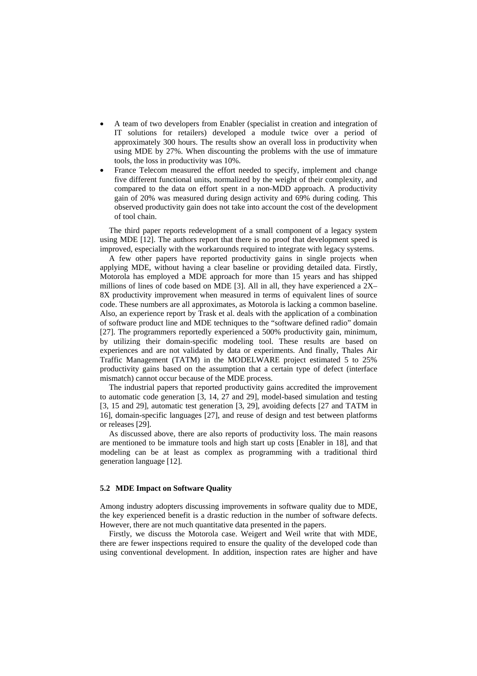- A team of two developers from Enabler (specialist in creation and integration of IT solutions for retailers) developed a module twice over a period of approximately 300 hours. The results show an overall loss in productivity when using MDE by 27%. When discounting the problems with the use of immature tools, the loss in productivity was 10%.
- France Telecom measured the effort needed to specify, implement and change five different functional units, normalized by the weight of their complexity, and compared to the data on effort spent in a non-MDD approach. A productivity gain of 20% was measured during design activity and 69% during coding. This observed productivity gain does not take into account the cost of the development of tool chain.

The third paper reports redevelopment of a small component of a legacy system using MDE [12]. The authors report that there is no proof that development speed is improved, especially with the workarounds required to integrate with legacy systems.

A few other papers have reported productivity gains in single projects when applying MDE, without having a clear baseline or providing detailed data. Firstly, Motorola has employed a MDE approach for more than 15 years and has shipped millions of lines of code based on MDE [3]. All in all, they have experienced a 2X– 8X productivity improvement when measured in terms of equivalent lines of source code. These numbers are all approximates, as Motorola is lacking a common baseline. Also, an experience report by Trask et al. deals with the application of a combination of software product line and MDE techniques to the "software defined radio" domain [27]. The programmers reportedly experienced a 500% productivity gain, minimum, by utilizing their domain-specific modeling tool. These results are based on experiences and are not validated by data or experiments. And finally, Thales Air Traffic Management (TATM) in the MODELWARE project estimated 5 to 25% productivity gains based on the assumption that a certain type of defect (interface mismatch) cannot occur because of the MDE process.

The industrial papers that reported productivity gains accredited the improvement to automatic code generation [3, 14, 27 and 29], model-based simulation and testing [3, 15 and 29], automatic test generation [3, 29], avoiding defects [27 and TATM in 16], domain-specific languages [27], and reuse of design and test between platforms or releases [29].

As discussed above, there are also reports of productivity loss. The main reasons are mentioned to be immature tools and high start up costs [Enabler in 18], and that modeling can be at least as complex as programming with a traditional third generation language [12].

#### **5.2 MDE Impact on Software Quality**

Among industry adopters discussing improvements in software quality due to MDE, the key experienced benefit is a drastic reduction in the number of software defects. However, there are not much quantitative data presented in the papers.

Firstly, we discuss the Motorola case. Weigert and Weil write that with MDE, there are fewer inspections required to ensure the quality of the developed code than using conventional development. In addition, inspection rates are higher and have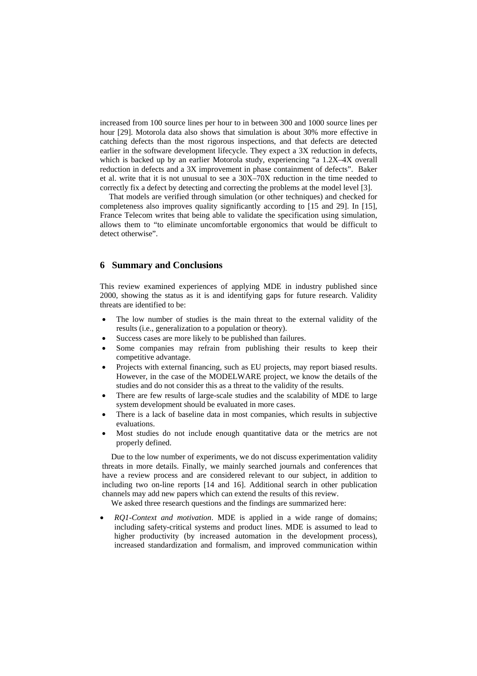increased from 100 source lines per hour to in between 300 and 1000 source lines per hour [29]. Motorola data also shows that simulation is about 30% more effective in catching defects than the most rigorous inspections, and that defects are detected earlier in the software development lifecycle. They expect a 3X reduction in defects, which is backed up by an earlier Motorola study, experiencing "a 1.2X–4X overall reduction in defects and a 3X improvement in phase containment of defects". Baker et al. write that it is not unusual to see a 30X–70X reduction in the time needed to correctly fix a defect by detecting and correcting the problems at the model level [3].

That models are verified through simulation (or other techniques) and checked for completeness also improves quality significantly according to [15 and 29]. In [15], France Telecom writes that being able to validate the specification using simulation, allows them to "to eliminate uncomfortable ergonomics that would be difficult to detect otherwise".

### **6 Summary and Conclusions**

This review examined experiences of applying MDE in industry published since 2000, showing the status as it is and identifying gaps for future research. Validity threats are identified to be:

- The low number of studies is the main threat to the external validity of the results (i.e., generalization to a population or theory).
- Success cases are more likely to be published than failures.
- Some companies may refrain from publishing their results to keep their competitive advantage.
- Projects with external financing, such as EU projects, may report biased results. However, in the case of the MODELWARE project, we know the details of the studies and do not consider this as a threat to the validity of the results.
- There are few results of large-scale studies and the scalability of MDE to large system development should be evaluated in more cases.
- There is a lack of baseline data in most companies, which results in subjective evaluations.
- Most studies do not include enough quantitative data or the metrics are not properly defined.

Due to the low number of experiments, we do not discuss experimentation validity threats in more details. Finally, we mainly searched journals and conferences that have a review process and are considered relevant to our subject, in addition to including two on-line reports [14 and 16]. Additional search in other publication channels may add new papers which can extend the results of this review.

We asked three research questions and the findings are summarized here:

• *RQ1-Context and motivation*. MDE is applied in a wide range of domains; including safety-critical systems and product lines. MDE is assumed to lead to higher productivity (by increased automation in the development process), increased standardization and formalism, and improved communication within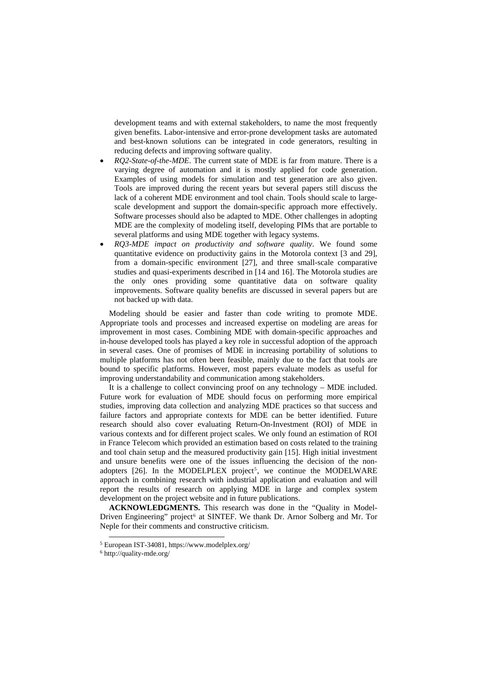development teams and with external stakeholders, to name the most frequently given benefits. Labor-intensive and error-prone development tasks are automated and best-known solutions can be integrated in code generators, resulting in reducing defects and improving software quality.

- *RQ2-State-of-the-MDE*. The current state of MDE is far from mature. There is a varying degree of automation and it is mostly applied for code generation. Examples of using models for simulation and test generation are also given. Tools are improved during the recent years but several papers still discuss the lack of a coherent MDE environment and tool chain. Tools should scale to largescale development and support the domain-specific approach more effectively. Software processes should also be adapted to MDE. Other challenges in adopting MDE are the complexity of modeling itself, developing PIMs that are portable to several platforms and using MDE together with legacy systems.
- *RQ3-MDE impact on productivity and software quality*. We found some quantitative evidence on productivity gains in the Motorola context [3 and 29], from a domain-specific environment [27], and three small-scale comparative studies and quasi-experiments described in [14 and 16]. The Motorola studies are the only ones providing some quantitative data on software quality improvements. Software quality benefits are discussed in several papers but are not backed up with data.

Modeling should be easier and faster than code writing to promote MDE. Appropriate tools and processes and increased expertise on modeling are areas for improvement in most cases. Combining MDE with domain-specific approaches and in-house developed tools has played a key role in successful adoption of the approach in several cases. One of promises of MDE in increasing portability of solutions to multiple platforms has not often been feasible, mainly due to the fact that tools are bound to specific platforms. However, most papers evaluate models as useful for improving understandability and communication among stakeholders.

It is a challenge to collect convincing proof on any technology – MDE included. Future work for evaluation of MDE should focus on performing more empirical studies, improving data collection and analyzing MDE practices so that success and failure factors and appropriate contexts for MDE can be better identified. Future research should also cover evaluating Return-On-Investment (ROI) of MDE in various contexts and for different project scales. We only found an estimation of ROI in France Telecom which provided an estimation based on costs related to the training and tool chain setup and the measured productivity gain [15]. High initial investment and unsure benefits were one of the issues influencing the decision of the nonadopters  $[26]$ . In the MODELPLEX project<sup>[5](#page-9-0)</sup>, we continue the MODELWARE approach in combining research with industrial application and evaluation and will report the results of research on applying MDE in large and complex system development on the project website and in future publications.

**ACKNOWLEDGMENTS.** This research was done in the "Quality in Model-Driven Engineering" project<sup>[6](#page-9-1)</sup> at SINTEF. We thank Dr. Arnor Solberg and Mr. Tor Neple for their comments and constructive criticism.

<span id="page-9-1"></span><span id="page-9-0"></span> $^5$  European IST-34081, https://www.modelplex.org/  $^6$  http://quality-mde.org/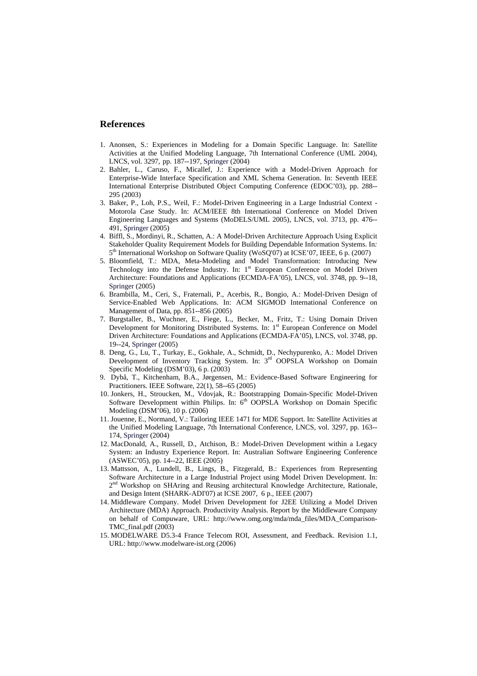### **References**

- 1. Anonsen, S.: Experiences in Modeling for a Domain Specific Language. In: Satellite Activities at the Unified Modeling Language, 7th International Conference (UML 2004), LNCS, vol. 3297, pp. 187--197, Springer (2004)
- 2. Bahler, L., Caruso, F., Micallef, J.: Experience with a Model-Driven Approach for Enterprise-Wide Interface Specification and XML Schema Generation. In: Seventh IEEE International Enterprise Distributed Object Computing Conference (EDOC'03), pp. 288-- 295 (2003)
- 3. Baker, P., Loh, P.S., Weil, F.: Model-Driven Engineering in a Large Industrial Context Motorola Case Study. In: ACM/IEEE 8th International Conference on Model Driven Engineering Languages and Systems (MoDELS/UML 2005), LNCS, vol. 3713, pp. 476-- 491, Springer (2005)
- 4. Biffl, S., Mordinyi, R., Schatten, A.: A Model-Driven Architecture Approach Using Explicit Stakeholder Quality Requirement Models for Building Dependable Information Systems. In*:*  5th International Workshop on Software Quality (WoSQ'07) at ICSE'07, IEEE, 6 p. (2007)
- 5. Bloomfield, T.: MDA, Meta-Modeling and Model Transformation: Introducing New Technology into the Defense Industry. In:  $1<sup>st</sup>$  European Conference on Model Driven Architecture: Foundations and Applications (ECMDA-FA'05), LNCS, vol. 3748, pp. 9--18, Springer (2005)
- 6. Brambilla, M., Ceri, S., Fraternali, P., Acerbis, R., Bongio, A.: Model-Driven Design of Service-Enabled Web Applications. In: ACM SIGMOD International Conference on Management of Data, pp. 851--856 (2005)
- 7. Burgstaller, B., Wuchner, E., Fiege, L., Becker, M., Fritz, T.: Using Domain Driven Development for Monitoring Distributed Systems. In: 1<sup>st</sup> European Conference on Model Driven Architecture: Foundations and Applications (ECMDA-FA'05), LNCS, vol. 3748, pp. 19--24, Springer (2005)
- 8. Deng, G., Lu, T., Turkay, E., Gokhale, A., Schmidt, D., Nechypurenko, A.: Model Driven Development of Inventory Tracking System. In: 3<sup>rd</sup> OOPSLA Workshop on Domain Specific Modeling (DSM'03), 6 p. (2003)
- 9. Dybå, T., Kitchenham, B.A., Jørgensen, M.: Evidence-Based Software Engineering for Practitioners. IEEE Software, 22(1), 58--65 (2005)
- 10. Jonkers, H., Stroucken, M., Vdovjak, R.: Bootstrapping Domain-Specific Model-Driven Software Development within Philips. In: 6<sup>th</sup> OOPSLA Workshop on Domain Specific Modeling (DSM'06), 10 p. (2006)
- 11. Jouenne, E., Normand, V.: Tailoring IEEE 1471 for MDE Support. In: Satellite Activities at the Unified Modeling Language, 7th International Conference, LNCS, vol. 3297, pp. 163-- 174, Springer (2004)
- 12. MacDonald, A., Russell, D., Atchison, B.: Model-Driven Development within a Legacy System: an Industry Experience Report. In: Australian Software Engineering Conference (ASWEC'05), pp. 14--22, IEEE (2005)
- 13. Mattsson, A., Lundell, B., Lings, B., Fitzgerald, B.: Experiences from Representing Software Architecture in a Large Industrial Project using Model Driven Development. In: 2<sup>nd</sup> Workshop on SHAring and Reusing architectural Knowledge Architecture, Rationale, and Design Intent (SHARK-ADI'07) at ICSE 2007, 6 p., IEEE (2007)
- 14. Middleware Company. Model Driven Development for J2EE Utilizing a Model Driven Architecture (MDA) Approach. Productivity Analysis. Report by the Middleware Company on behalf of Compuware, URL: http://www.omg.org/mda/mda\_files/MDA\_Comparison-TMC\_final.pdf (2003)
- 15. MODELWARE D5.3-4 France Telecom ROI, Assessment, and Feedback. Revision 1.1, URL: http://www.modelware-ist.org (2006)